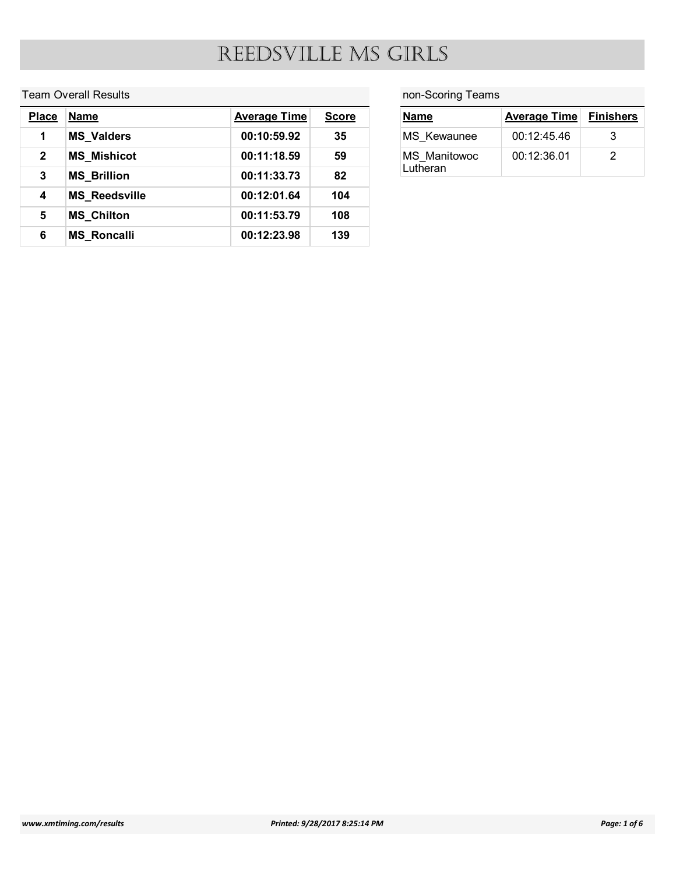#### Team Overall Results

|                         |                             |                     |              | REEDSVILLE MS GIRLS |                     |                       |
|-------------------------|-----------------------------|---------------------|--------------|---------------------|---------------------|-----------------------|
|                         | <b>Team Overall Results</b> |                     |              | non-Scoring Teams   |                     |                       |
| <b>Place</b>            | Name                        | <b>Average Time</b> | <b>Score</b> | <b>Name</b>         | <b>Average Time</b> |                       |
| $\mathbf 1$             | <b>MS_Valders</b>           | 00:10:59.92         | 35           | MS_Kewaunee         | 00:12:45.46         | <b>Finishers</b><br>3 |
| $\mathbf{2}$            | <b>MS_Mishicot</b>          | 00:11:18.59         | 59           | MS_Manitowoc        | 00:12:36.01         | $\overline{2}$        |
| $\mathbf{3}$            | <b>MS_Brillion</b>          | 00:11:33.73         | 82           | Lutheran            |                     |                       |
| $\overline{\mathbf{4}}$ | <b>MS_Reedsville</b>        | 00:12:01.64         | 104          |                     |                     |                       |
| $5\phantom{.0}$         | <b>MS_Chilton</b>           | 00:11:53.79         | 108          |                     |                     |                       |

| <b>GIRLS</b>      |                     |                  |  |  |  |
|-------------------|---------------------|------------------|--|--|--|
|                   |                     |                  |  |  |  |
| non-Scoring Teams |                     |                  |  |  |  |
| <b>Name</b>       | <b>Average Time</b> | <b>Finishers</b> |  |  |  |
| MS_Kewaunee       | 00:12:45.46         | $\mathbf{3}$     |  |  |  |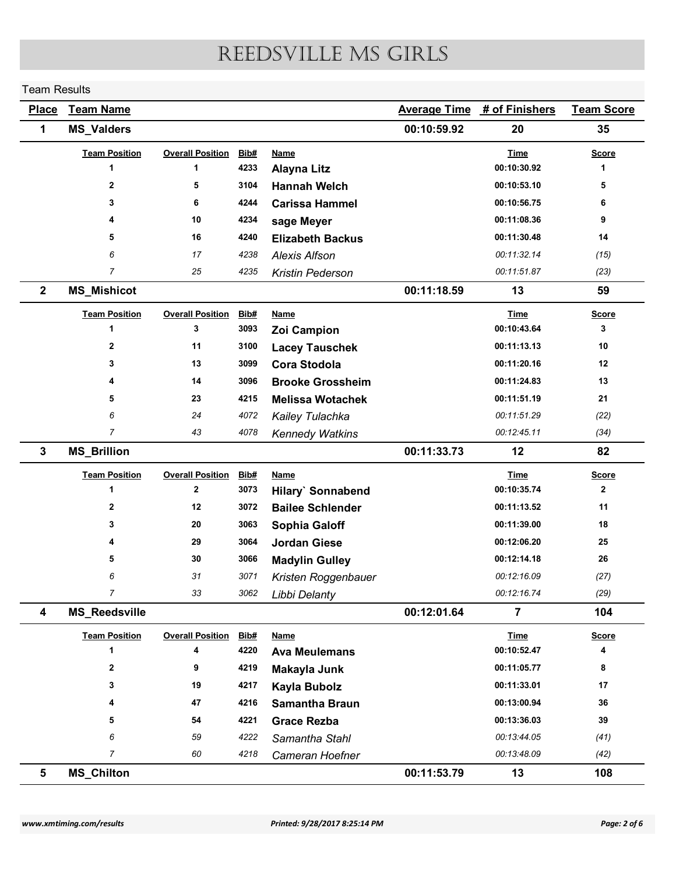#### Team Results

| <b>Team Results</b> |                      |                         |              |                                                 |                     |                            |                   |
|---------------------|----------------------|-------------------------|--------------|-------------------------------------------------|---------------------|----------------------------|-------------------|
|                     |                      |                         |              | REEDSVILLE MS GIRLS                             |                     |                            |                   |
|                     |                      |                         |              |                                                 |                     |                            |                   |
| <b>Place</b>        | <b>Team Name</b>     |                         |              |                                                 | <b>Average Time</b> | # of Finishers             | <b>Team Score</b> |
| 1                   | <b>MS_Valders</b>    |                         |              |                                                 | 00:10:59.92         | 20                         | 35                |
|                     | <b>Team Position</b> | <b>Overall Position</b> | Bib#         | <b>Name</b>                                     |                     | <b>Time</b>                | <b>Score</b>      |
|                     | -1                   | $\mathbf{1}$            | 4233         | <b>Alayna Litz</b>                              |                     | 00:10:30.92                | $\mathbf 1$       |
|                     | $\mathbf{2}$         | 5                       | 3104         | <b>Hannah Welch</b>                             |                     | 00:10:53.10                | 5                 |
|                     | 3                    | 6                       | 4244         | <b>Carissa Hammel</b>                           |                     | 00:10:56.75                | 6                 |
|                     | 4<br>5               | 10<br>16                | 4234<br>4240 | sage Meyer                                      |                     | 00:11:08.36<br>00:11:30.48 | 9<br>14           |
|                     | 6                    | 17                      | 4238         | <b>Elizabeth Backus</b><br><b>Alexis Alfson</b> |                     | 00:11:32.14                | (15)              |
|                     | $\overline{7}$       | 25                      | 4235         | Kristin Pederson                                |                     | 00:11:51.87                | (23)              |
| $\mathbf{2}$        | <b>MS_Mishicot</b>   |                         |              |                                                 | 00:11:18.59         | 13                         | 59                |
|                     | <b>Team Position</b> | <b>Overall Position</b> | Bib#         | <b>Name</b>                                     |                     | <b>Time</b>                | <b>Score</b>      |
|                     | -1                   | 3                       | 3093         | Zoi Campion                                     |                     | 00:10:43.64                | 3                 |
|                     | $\mathbf{2}$         | 11                      | 3100         | <b>Lacey Tauschek</b>                           |                     | 00:11:13.13                | $10$              |
|                     | 3                    | 13                      | 3099         | <b>Cora Stodola</b>                             |                     | 00:11:20.16                | 12                |
|                     |                      | 14                      | 3096         | <b>Brooke Grossheim</b>                         |                     | 00:11:24.83                | 13                |
|                     | 5                    | 23                      | 4215         | <b>Melissa Wotachek</b>                         |                     | 00:11:51.19                | 21                |
|                     | 6                    | 24                      | 4072         | Kailey Tulachka                                 |                     | 00:11:51.29                | (22)              |
|                     | $\overline{7}$       | 43                      | 4078         | <b>Kennedy Watkins</b>                          |                     | 00:12:45.11                | (34)              |
| 3                   | <b>MS_Brillion</b>   |                         |              |                                                 | 00:11:33.73         | 12                         | 82                |
|                     | <b>Team Position</b> | <b>Overall Position</b> | Bib#         | <b>Name</b>                                     |                     | <b>Time</b>                | <b>Score</b>      |
|                     | 1                    | $\mathbf{2}$            | 3073         | Hilary' Sonnabend                               |                     | 00:10:35.74                | $\mathbf{2}$      |
|                     | $\mathbf{2}$         | 12                      | 3072         | <b>Bailee Schlender</b>                         |                     | 00:11:13.52                | 11                |
|                     | 3                    | 20                      | 3063         | <b>Sophia Galoff</b>                            |                     | 00:11:39.00                | 18                |
|                     |                      | 29                      | 3064         | <b>Jordan Giese</b>                             |                     | 00:12:06.20                | ${\bf 25}$        |
|                     | 5<br>6               | 30<br>31                | 3066<br>3071 | <b>Madylin Gulley</b>                           |                     | 00:12:14.18<br>00:12:16.09 | 26                |
|                     | $\overline{7}$       | 33                      | 3062         | Kristen Roggenbauer<br>Libbi Delanty            |                     | 00:12:16.74                | (27)<br>(29)      |
| 4                   | <b>MS_Reedsville</b> |                         |              |                                                 | 00:12:01.64         | $\overline{\mathbf{7}}$    | 104               |
|                     | <b>Team Position</b> | <b>Overall Position</b> | <u>Bib#</u>  | <b>Name</b>                                     |                     | <b>Time</b>                | <b>Score</b>      |
|                     | 1                    | 4                       | 4220         | <b>Ava Meulemans</b>                            |                     | 00:10:52.47                | 4                 |
|                     | $\mathbf{2}$         | 9                       | 4219         | Makayla Junk                                    |                     | 00:11:05.77                | 8                 |
|                     | 3                    | 19                      | 4217         | Kayla Bubolz                                    |                     | 00:11:33.01                | 17                |
|                     | 4                    | 47                      | 4216         | <b>Samantha Braun</b>                           |                     | 00:13:00.94                | 36                |
|                     | 5                    | 54                      | 4221         | <b>Grace Rezba</b>                              |                     | 00:13:36.03                | 39                |
|                     | 6                    | 59                      | 4222         | Samantha Stahl                                  |                     | 00:13:44.05                | (41)              |
|                     | $\overline{7}$       | 60                      | 4218         | Cameran Hoefner                                 |                     | 00:13:48.09                | (42)              |
|                     | <b>MS_Chilton</b>    |                         |              |                                                 | 00:11:53.79         | 13                         |                   |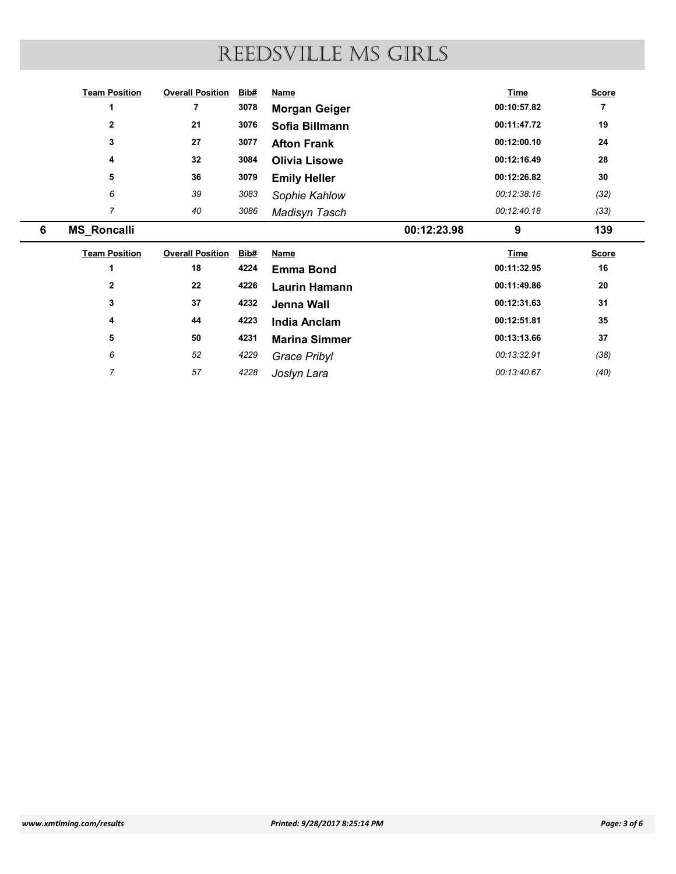|   |                      |                              |      | REEDSVILLE MS GIRLS  |             |                |
|---|----------------------|------------------------------|------|----------------------|-------------|----------------|
|   |                      |                              |      |                      |             |                |
|   | <b>Team Position</b> | <b>Overall Position Bib#</b> |      | <b>Name</b>          | <b>Time</b> | <b>Score</b>   |
|   | 1                    | $\overline{7}$               | 3078 | <b>Morgan Geiger</b> | 00:10:57.82 | $\overline{7}$ |
|   | $\mathbf{2}$         | 21                           | 3076 | Sofia Billmann       | 00:11:47.72 | 19             |
|   | $\mathbf{3}$         | 27                           | 3077 | <b>Afton Frank</b>   | 00:12:00.10 | 24             |
|   | 4                    | 32                           | 3084 | <b>Olivia Lisowe</b> | 00:12:16.49 | 28             |
|   | 5                    | 36                           | 3079 | <b>Emily Heller</b>  | 00:12:26.82 | 30             |
|   | 6                    | 39                           | 3083 | Sophie Kahlow        | 00:12:38.16 | (32)           |
|   | $\overline{7}$       | 40                           | 3086 | Madisyn Tasch        | 00:12:40.18 | (33)           |
| 6 | <b>MS_Roncalli</b>   |                              |      | 00:12:23.98          | 9           | 139            |
|   | <b>Team Position</b> | <b>Overall Position Bib#</b> |      | <b>Name</b>          | <b>Time</b> | <b>Score</b>   |
|   | 1                    | 18                           | 4224 | <b>Emma Bond</b>     | 00:11:32.95 | 16             |
|   | $\mathbf{2}$         | ${\bf 22}$                   | 4226 | <b>Laurin Hamann</b> | 00:11:49.86 | ${\bf 20}$     |
|   | 3                    | 37                           | 4232 | Jenna Wall           | 00:12:31.63 | 31             |
|   | 4                    | $\bf 44$                     | 4223 | <b>India Anclam</b>  | 00:12:51.81 | ${\bf 35}$     |
|   | 5                    | ${\bf 50}$                   | 4231 | <b>Marina Simmer</b> | 00:13:13.66 | $37\,$         |
|   | $\boldsymbol{6}$     | $52\,$                       | 4229 | <b>Grace Pribyl</b>  | 00:13:32.91 | (38)           |
|   |                      | $57\,$                       | 4228 | Joslyn Lara          | 00:13:40.67 | (40)           |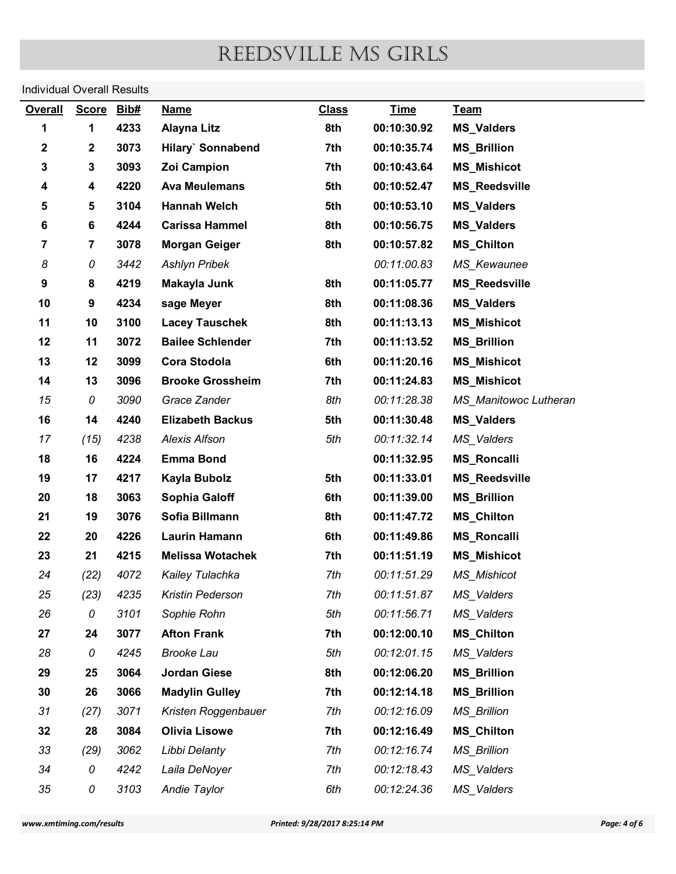# Individual Overall Results

| <b>Individual Overall Results</b><br><b>Overall</b> |                  |              |                                            |                               |                            |                                          |              |
|-----------------------------------------------------|------------------|--------------|--------------------------------------------|-------------------------------|----------------------------|------------------------------------------|--------------|
|                                                     | <b>Score</b>     | Bib#         | <b>Name</b>                                | <b>Class</b>                  | <b>Time</b>                | Team                                     |              |
| 1                                                   | $\mathbf 1$      | 4233         | <b>Alayna Litz</b>                         | 8th                           | 00:10:30.92                | <b>MS_Valders</b>                        |              |
| $\mathbf 2$                                         | $\boldsymbol{2}$ | 3073         | Hilary` Sonnabend                          | 7th                           | 00:10:35.74                | <b>MS_Brillion</b>                       |              |
| 3                                                   | 3                | 3093         | Zoi Campion                                | 7th                           | 00:10:43.64                | <b>MS_Mishicot</b>                       |              |
| 4                                                   | 4                | 4220         | <b>Ava Meulemans</b>                       | 5th                           | 00:10:52.47                | <b>MS_Reedsville</b>                     |              |
| 5                                                   | 5                | 3104         | <b>Hannah Welch</b>                        | 5th                           | 00:10:53.10                | <b>MS_Valders</b>                        |              |
| 6                                                   | 6                | 4244         | <b>Carissa Hammel</b>                      | 8th                           | 00:10:56.75                | <b>MS_Valders</b>                        |              |
| $\overline{\mathbf{7}}$                             | $\overline{7}$   | 3078         | <b>Morgan Geiger</b>                       | 8th                           | 00:10:57.82                | <b>MS_Chilton</b>                        |              |
| 8                                                   | 0                | 3442         | <b>Ashlyn Pribek</b>                       |                               | 00:11:00.83                | MS_Kewaunee                              |              |
| 9                                                   | 8                | 4219         | Makayla Junk                               | 8th                           | 00:11:05.77                | <b>MS_Reedsville</b>                     |              |
| 10                                                  | 9                | 4234         | sage Meyer                                 | 8th                           | 00:11:08.36                | <b>MS_Valders</b>                        |              |
| 11                                                  | 10               | 3100         | <b>Lacey Tauschek</b>                      | 8th                           | 00:11:13.13                | <b>MS_Mishicot</b>                       |              |
| 12                                                  | 11               | 3072         | <b>Bailee Schlender</b>                    | 7th                           | 00:11:13.52                | <b>MS_Brillion</b>                       |              |
| 13                                                  | 12               | 3099         | Cora Stodola                               | 6th                           | 00:11:20.16                | <b>MS_Mishicot</b>                       |              |
| 14                                                  | 13               | 3096         | <b>Brooke Grossheim</b>                    | 7th                           | 00:11:24.83                | <b>MS_Mishicot</b>                       |              |
| 15                                                  | 0                | 3090         | Grace Zander                               | 8th                           | 00:11:28.38                | MS_Manitowoc Lutheran                    |              |
| 16                                                  | 14               | 4240         | <b>Elizabeth Backus</b>                    | 5th                           | 00:11:30.48                | <b>MS_Valders</b>                        |              |
| 17                                                  | (15)             | 4238         | <b>Alexis Alfson</b>                       | 5th                           | 00:11:32.14                | MS_Valders                               |              |
| 18                                                  | 16               | 4224         | <b>Emma Bond</b>                           |                               | 00:11:32.95                | <b>MS_Roncalli</b>                       |              |
| 19                                                  | 17               | 4217         | Kayla Bubolz                               | 5th                           | 00:11:33.01                | <b>MS_Reedsville</b>                     |              |
| 20                                                  | 18               | 3063         | Sophia Galoff                              | 6th                           | 00:11:39.00                | <b>MS_Brillion</b>                       |              |
| 21                                                  | 19               | 3076         | Sofia Billmann                             | 8th                           | 00:11:47.72                | <b>MS_Chilton</b>                        |              |
| 22                                                  | 20               | 4226         | <b>Laurin Hamann</b>                       | 6th                           | 00:11:49.86                | <b>MS_Roncalli</b>                       |              |
| 23<br>24                                            | 21<br>(22)       | 4215<br>4072 | <b>Melissa Wotachek</b><br>Kailey Tulachka | 7th<br>7th                    | 00:11:51.19<br>00:11:51.29 | <b>MS_Mishicot</b><br><b>MS_Mishicot</b> |              |
| 25                                                  | (23)             | 4235         | Kristin Pederson                           | 7th                           | 00:11:51.87                | MS_Valders                               |              |
| 26                                                  | 0                | 3101         | Sophie Rohn                                | 5th                           | 00:11:56.71                | MS_Valders                               |              |
| 27                                                  | 24               | 3077         | <b>Afton Frank</b>                         | 7th                           | 00:12:00.10                | <b>MS_Chilton</b>                        |              |
| 28                                                  | 0                | 4245         | <b>Brooke Lau</b>                          | 5th                           | 00:12:01.15                | MS_Valders                               |              |
| 29                                                  | 25               | 3064         | <b>Jordan Giese</b>                        | 8th                           | 00:12:06.20                | <b>MS_Brillion</b>                       |              |
| 30                                                  | 26               | 3066         | <b>Madylin Gulley</b>                      | 7th                           | 00:12:14.18                | <b>MS_Brillion</b>                       |              |
| 31                                                  | (27)             | 3071         | Kristen Roggenbauer                        | 7th                           | 00:12:16.09                | <b>MS_Brillion</b>                       |              |
| 32                                                  | 28               | 3084         | <b>Olivia Lisowe</b>                       | 7th                           | 00:12:16.49                | <b>MS_Chilton</b>                        |              |
| 33                                                  | (29)             | 3062         | Libbi Delanty                              | 7th                           | 00:12:16.74                | <b>MS_Brillion</b>                       |              |
| 34                                                  | 0                | 4242         | Laila DeNoyer                              | 7th                           | 00:12:18.43                | MS_Valders                               |              |
| 35                                                  | 0                | 3103         | Andie Taylor                               | 6th                           | 00:12:24.36                | MS_Valders                               |              |
|                                                     |                  |              |                                            |                               |                            |                                          |              |
| www.xmtiming.com/results                            |                  |              |                                            | Printed: 9/28/2017 8:25:14 PM |                            |                                          | Page: 4 of 6 |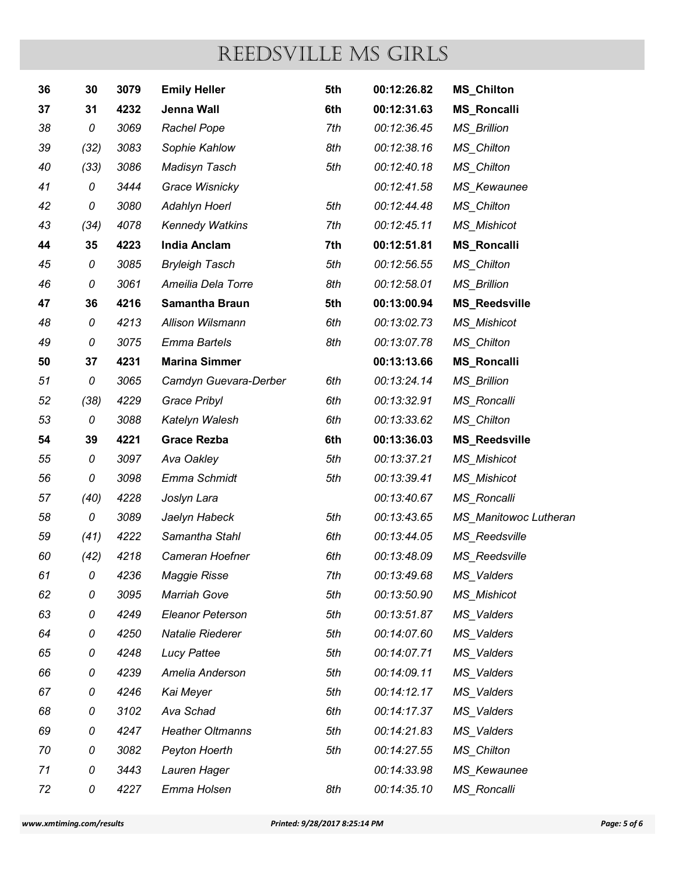| REEDSVILLE MS GIRLS<br><b>MS_Chilton</b><br>3079<br><b>Emily Heller</b><br>5th<br>00:12:26.82<br>36<br>30<br>4232<br>Jenna Wall<br>00:12:31.63<br><b>MS_Roncalli</b><br>37<br>31<br>6th<br>3069<br>Rachel Pope<br>7th<br>00:12:36.45<br><b>MS_Brillion</b><br>38<br>0<br>Sophie Kahlow<br>(32)<br>3083<br>8th<br>00:12:38.16<br><b>MS_Chilton</b><br>39<br>3086<br>Madisyn Tasch<br>5th<br>00:12:40.18<br>MS_Chilton<br>(33)<br>40<br>00:12:41.58<br>3444<br>Grace Wisnicky<br>MS_Kewaunee<br>41<br>0<br>3080<br>Adahlyn Hoerl<br>5th<br>00:12:44.48<br><b>MS_Chilton</b><br>42<br>0<br>4078<br>7th<br>00:12:45.11<br><b>MS_Mishicot</b><br>43<br>(34)<br><b>Kennedy Watkins</b><br>4223<br><b>India Anclam</b><br>7th<br>00:12:51.81<br><b>MS_Roncalli</b><br>35<br>44<br>3085<br>5th<br>00:12:56.55<br><b>MS_Chilton</b><br>45<br><b>Bryleigh Tasch</b><br>0<br>0<br>3061<br>Ameilia Dela Torre<br>8th<br>00:12:58.01<br><b>MS_Brillion</b><br>46<br>47<br>36<br><b>Samantha Braun</b><br>5th<br>00:13:00.94<br>4216<br><b>MS_Reedsville</b><br>4213<br>Allison Wilsmann<br>6th<br>48<br>0<br>00:13:02.73<br><b>MS_Mishicot</b><br><b>Emma Bartels</b><br>8th<br>0<br>3075<br>00:13:07.78<br><b>MS_Chilton</b><br>49<br>4231<br><b>Marina Simmer</b><br>00:13:13.66<br><b>MS_Roncalli</b><br>37<br>50<br>3065<br>Camdyn Guevara-Derber<br>00:13:24.14<br><b>MS_Brillion</b><br>51<br>0<br>6th<br>(38)<br>4229<br>Grace Pribyl<br>6th<br>00:13:32.91<br>MS_Roncalli<br>52<br>3088<br>6th<br>53<br>0<br>Katelyn Walesh<br>00:13:33.62<br><b>MS_Chilton</b><br>4221<br>6th<br>00:13:36.03<br><b>Grace Rezba</b><br><b>MS_Reedsville</b><br>54<br>39<br>3097<br>Ava Oakley<br>5th<br>00:13:37.21<br>55<br>0<br><b>MS_Mishicot</b><br>3098<br>5th<br>56<br>0<br>Emma Schmidt<br>00:13:39.41<br><b>MS_Mishicot</b><br>4228<br>00:13:40.67<br>MS_Roncalli<br>(40)<br>Joslyn Lara<br>57<br>3089<br>5th<br>00:13:43.65<br>58<br>Jaelyn Habeck<br>MS_Manitowoc Lutheran<br>0<br>4222<br>Samantha Stahl<br>6th<br>(41)<br>00:13:44.05<br>MS_Reedsville<br>59<br>00:13:48.09<br>(42)<br>4218<br>Cameran Hoefner<br>6th<br>MS_Reedsville<br>60<br>4236<br>Maggie Risse<br>7th<br>00:13:49.68<br>61<br>MS_Valders<br>0<br>3095<br>5th<br>00:13:50.90<br>62<br>0<br><b>Marriah Gove</b><br><b>MS_Mishicot</b><br>0<br>5th<br>63<br>4249<br><b>Eleanor Peterson</b><br>00:13:51.87<br>MS_Valders<br>Natalie Riederer<br>5th<br>00:14:07.60<br>64<br>0<br>4250<br>MS_Valders<br>5th<br>65<br>0<br>4248<br><b>Lucy Pattee</b><br>00:14:07.71<br>MS_Valders<br>4239<br>Amelia Anderson<br>5th<br>00:14:09.11<br>66<br>0<br>MS_Valders<br>5th<br>00:14:12.17<br>67<br>0<br>4246<br>Kai Meyer<br>MS_Valders<br>3102<br>Ava Schad<br>00:14:17.37<br>68<br>0<br>6th<br>MS_Valders<br><b>Heather Oltmanns</b><br>5th<br>00:14:21.83<br>69<br>0<br>4247<br>MS_Valders |
|------------------------------------------------------------------------------------------------------------------------------------------------------------------------------------------------------------------------------------------------------------------------------------------------------------------------------------------------------------------------------------------------------------------------------------------------------------------------------------------------------------------------------------------------------------------------------------------------------------------------------------------------------------------------------------------------------------------------------------------------------------------------------------------------------------------------------------------------------------------------------------------------------------------------------------------------------------------------------------------------------------------------------------------------------------------------------------------------------------------------------------------------------------------------------------------------------------------------------------------------------------------------------------------------------------------------------------------------------------------------------------------------------------------------------------------------------------------------------------------------------------------------------------------------------------------------------------------------------------------------------------------------------------------------------------------------------------------------------------------------------------------------------------------------------------------------------------------------------------------------------------------------------------------------------------------------------------------------------------------------------------------------------------------------------------------------------------------------------------------------------------------------------------------------------------------------------------------------------------------------------------------------------------------------------------------------------------------------------------------------------------------------------------------------------------------------------------------------------------------------------------------------------------------------------------------------------------------------------------------------------------------------------------------------------------------------------------------------------------------------------------------------------------------------------------------------------------------------|
|                                                                                                                                                                                                                                                                                                                                                                                                                                                                                                                                                                                                                                                                                                                                                                                                                                                                                                                                                                                                                                                                                                                                                                                                                                                                                                                                                                                                                                                                                                                                                                                                                                                                                                                                                                                                                                                                                                                                                                                                                                                                                                                                                                                                                                                                                                                                                                                                                                                                                                                                                                                                                                                                                                                                                                                                                                                |
|                                                                                                                                                                                                                                                                                                                                                                                                                                                                                                                                                                                                                                                                                                                                                                                                                                                                                                                                                                                                                                                                                                                                                                                                                                                                                                                                                                                                                                                                                                                                                                                                                                                                                                                                                                                                                                                                                                                                                                                                                                                                                                                                                                                                                                                                                                                                                                                                                                                                                                                                                                                                                                                                                                                                                                                                                                                |
|                                                                                                                                                                                                                                                                                                                                                                                                                                                                                                                                                                                                                                                                                                                                                                                                                                                                                                                                                                                                                                                                                                                                                                                                                                                                                                                                                                                                                                                                                                                                                                                                                                                                                                                                                                                                                                                                                                                                                                                                                                                                                                                                                                                                                                                                                                                                                                                                                                                                                                                                                                                                                                                                                                                                                                                                                                                |
|                                                                                                                                                                                                                                                                                                                                                                                                                                                                                                                                                                                                                                                                                                                                                                                                                                                                                                                                                                                                                                                                                                                                                                                                                                                                                                                                                                                                                                                                                                                                                                                                                                                                                                                                                                                                                                                                                                                                                                                                                                                                                                                                                                                                                                                                                                                                                                                                                                                                                                                                                                                                                                                                                                                                                                                                                                                |
|                                                                                                                                                                                                                                                                                                                                                                                                                                                                                                                                                                                                                                                                                                                                                                                                                                                                                                                                                                                                                                                                                                                                                                                                                                                                                                                                                                                                                                                                                                                                                                                                                                                                                                                                                                                                                                                                                                                                                                                                                                                                                                                                                                                                                                                                                                                                                                                                                                                                                                                                                                                                                                                                                                                                                                                                                                                |
|                                                                                                                                                                                                                                                                                                                                                                                                                                                                                                                                                                                                                                                                                                                                                                                                                                                                                                                                                                                                                                                                                                                                                                                                                                                                                                                                                                                                                                                                                                                                                                                                                                                                                                                                                                                                                                                                                                                                                                                                                                                                                                                                                                                                                                                                                                                                                                                                                                                                                                                                                                                                                                                                                                                                                                                                                                                |
|                                                                                                                                                                                                                                                                                                                                                                                                                                                                                                                                                                                                                                                                                                                                                                                                                                                                                                                                                                                                                                                                                                                                                                                                                                                                                                                                                                                                                                                                                                                                                                                                                                                                                                                                                                                                                                                                                                                                                                                                                                                                                                                                                                                                                                                                                                                                                                                                                                                                                                                                                                                                                                                                                                                                                                                                                                                |
|                                                                                                                                                                                                                                                                                                                                                                                                                                                                                                                                                                                                                                                                                                                                                                                                                                                                                                                                                                                                                                                                                                                                                                                                                                                                                                                                                                                                                                                                                                                                                                                                                                                                                                                                                                                                                                                                                                                                                                                                                                                                                                                                                                                                                                                                                                                                                                                                                                                                                                                                                                                                                                                                                                                                                                                                                                                |
|                                                                                                                                                                                                                                                                                                                                                                                                                                                                                                                                                                                                                                                                                                                                                                                                                                                                                                                                                                                                                                                                                                                                                                                                                                                                                                                                                                                                                                                                                                                                                                                                                                                                                                                                                                                                                                                                                                                                                                                                                                                                                                                                                                                                                                                                                                                                                                                                                                                                                                                                                                                                                                                                                                                                                                                                                                                |
|                                                                                                                                                                                                                                                                                                                                                                                                                                                                                                                                                                                                                                                                                                                                                                                                                                                                                                                                                                                                                                                                                                                                                                                                                                                                                                                                                                                                                                                                                                                                                                                                                                                                                                                                                                                                                                                                                                                                                                                                                                                                                                                                                                                                                                                                                                                                                                                                                                                                                                                                                                                                                                                                                                                                                                                                                                                |
|                                                                                                                                                                                                                                                                                                                                                                                                                                                                                                                                                                                                                                                                                                                                                                                                                                                                                                                                                                                                                                                                                                                                                                                                                                                                                                                                                                                                                                                                                                                                                                                                                                                                                                                                                                                                                                                                                                                                                                                                                                                                                                                                                                                                                                                                                                                                                                                                                                                                                                                                                                                                                                                                                                                                                                                                                                                |
|                                                                                                                                                                                                                                                                                                                                                                                                                                                                                                                                                                                                                                                                                                                                                                                                                                                                                                                                                                                                                                                                                                                                                                                                                                                                                                                                                                                                                                                                                                                                                                                                                                                                                                                                                                                                                                                                                                                                                                                                                                                                                                                                                                                                                                                                                                                                                                                                                                                                                                                                                                                                                                                                                                                                                                                                                                                |
|                                                                                                                                                                                                                                                                                                                                                                                                                                                                                                                                                                                                                                                                                                                                                                                                                                                                                                                                                                                                                                                                                                                                                                                                                                                                                                                                                                                                                                                                                                                                                                                                                                                                                                                                                                                                                                                                                                                                                                                                                                                                                                                                                                                                                                                                                                                                                                                                                                                                                                                                                                                                                                                                                                                                                                                                                                                |
|                                                                                                                                                                                                                                                                                                                                                                                                                                                                                                                                                                                                                                                                                                                                                                                                                                                                                                                                                                                                                                                                                                                                                                                                                                                                                                                                                                                                                                                                                                                                                                                                                                                                                                                                                                                                                                                                                                                                                                                                                                                                                                                                                                                                                                                                                                                                                                                                                                                                                                                                                                                                                                                                                                                                                                                                                                                |
|                                                                                                                                                                                                                                                                                                                                                                                                                                                                                                                                                                                                                                                                                                                                                                                                                                                                                                                                                                                                                                                                                                                                                                                                                                                                                                                                                                                                                                                                                                                                                                                                                                                                                                                                                                                                                                                                                                                                                                                                                                                                                                                                                                                                                                                                                                                                                                                                                                                                                                                                                                                                                                                                                                                                                                                                                                                |
|                                                                                                                                                                                                                                                                                                                                                                                                                                                                                                                                                                                                                                                                                                                                                                                                                                                                                                                                                                                                                                                                                                                                                                                                                                                                                                                                                                                                                                                                                                                                                                                                                                                                                                                                                                                                                                                                                                                                                                                                                                                                                                                                                                                                                                                                                                                                                                                                                                                                                                                                                                                                                                                                                                                                                                                                                                                |
|                                                                                                                                                                                                                                                                                                                                                                                                                                                                                                                                                                                                                                                                                                                                                                                                                                                                                                                                                                                                                                                                                                                                                                                                                                                                                                                                                                                                                                                                                                                                                                                                                                                                                                                                                                                                                                                                                                                                                                                                                                                                                                                                                                                                                                                                                                                                                                                                                                                                                                                                                                                                                                                                                                                                                                                                                                                |
|                                                                                                                                                                                                                                                                                                                                                                                                                                                                                                                                                                                                                                                                                                                                                                                                                                                                                                                                                                                                                                                                                                                                                                                                                                                                                                                                                                                                                                                                                                                                                                                                                                                                                                                                                                                                                                                                                                                                                                                                                                                                                                                                                                                                                                                                                                                                                                                                                                                                                                                                                                                                                                                                                                                                                                                                                                                |
|                                                                                                                                                                                                                                                                                                                                                                                                                                                                                                                                                                                                                                                                                                                                                                                                                                                                                                                                                                                                                                                                                                                                                                                                                                                                                                                                                                                                                                                                                                                                                                                                                                                                                                                                                                                                                                                                                                                                                                                                                                                                                                                                                                                                                                                                                                                                                                                                                                                                                                                                                                                                                                                                                                                                                                                                                                                |
|                                                                                                                                                                                                                                                                                                                                                                                                                                                                                                                                                                                                                                                                                                                                                                                                                                                                                                                                                                                                                                                                                                                                                                                                                                                                                                                                                                                                                                                                                                                                                                                                                                                                                                                                                                                                                                                                                                                                                                                                                                                                                                                                                                                                                                                                                                                                                                                                                                                                                                                                                                                                                                                                                                                                                                                                                                                |
|                                                                                                                                                                                                                                                                                                                                                                                                                                                                                                                                                                                                                                                                                                                                                                                                                                                                                                                                                                                                                                                                                                                                                                                                                                                                                                                                                                                                                                                                                                                                                                                                                                                                                                                                                                                                                                                                                                                                                                                                                                                                                                                                                                                                                                                                                                                                                                                                                                                                                                                                                                                                                                                                                                                                                                                                                                                |
|                                                                                                                                                                                                                                                                                                                                                                                                                                                                                                                                                                                                                                                                                                                                                                                                                                                                                                                                                                                                                                                                                                                                                                                                                                                                                                                                                                                                                                                                                                                                                                                                                                                                                                                                                                                                                                                                                                                                                                                                                                                                                                                                                                                                                                                                                                                                                                                                                                                                                                                                                                                                                                                                                                                                                                                                                                                |
|                                                                                                                                                                                                                                                                                                                                                                                                                                                                                                                                                                                                                                                                                                                                                                                                                                                                                                                                                                                                                                                                                                                                                                                                                                                                                                                                                                                                                                                                                                                                                                                                                                                                                                                                                                                                                                                                                                                                                                                                                                                                                                                                                                                                                                                                                                                                                                                                                                                                                                                                                                                                                                                                                                                                                                                                                                                |
|                                                                                                                                                                                                                                                                                                                                                                                                                                                                                                                                                                                                                                                                                                                                                                                                                                                                                                                                                                                                                                                                                                                                                                                                                                                                                                                                                                                                                                                                                                                                                                                                                                                                                                                                                                                                                                                                                                                                                                                                                                                                                                                                                                                                                                                                                                                                                                                                                                                                                                                                                                                                                                                                                                                                                                                                                                                |
|                                                                                                                                                                                                                                                                                                                                                                                                                                                                                                                                                                                                                                                                                                                                                                                                                                                                                                                                                                                                                                                                                                                                                                                                                                                                                                                                                                                                                                                                                                                                                                                                                                                                                                                                                                                                                                                                                                                                                                                                                                                                                                                                                                                                                                                                                                                                                                                                                                                                                                                                                                                                                                                                                                                                                                                                                                                |
|                                                                                                                                                                                                                                                                                                                                                                                                                                                                                                                                                                                                                                                                                                                                                                                                                                                                                                                                                                                                                                                                                                                                                                                                                                                                                                                                                                                                                                                                                                                                                                                                                                                                                                                                                                                                                                                                                                                                                                                                                                                                                                                                                                                                                                                                                                                                                                                                                                                                                                                                                                                                                                                                                                                                                                                                                                                |
|                                                                                                                                                                                                                                                                                                                                                                                                                                                                                                                                                                                                                                                                                                                                                                                                                                                                                                                                                                                                                                                                                                                                                                                                                                                                                                                                                                                                                                                                                                                                                                                                                                                                                                                                                                                                                                                                                                                                                                                                                                                                                                                                                                                                                                                                                                                                                                                                                                                                                                                                                                                                                                                                                                                                                                                                                                                |
|                                                                                                                                                                                                                                                                                                                                                                                                                                                                                                                                                                                                                                                                                                                                                                                                                                                                                                                                                                                                                                                                                                                                                                                                                                                                                                                                                                                                                                                                                                                                                                                                                                                                                                                                                                                                                                                                                                                                                                                                                                                                                                                                                                                                                                                                                                                                                                                                                                                                                                                                                                                                                                                                                                                                                                                                                                                |
|                                                                                                                                                                                                                                                                                                                                                                                                                                                                                                                                                                                                                                                                                                                                                                                                                                                                                                                                                                                                                                                                                                                                                                                                                                                                                                                                                                                                                                                                                                                                                                                                                                                                                                                                                                                                                                                                                                                                                                                                                                                                                                                                                                                                                                                                                                                                                                                                                                                                                                                                                                                                                                                                                                                                                                                                                                                |
|                                                                                                                                                                                                                                                                                                                                                                                                                                                                                                                                                                                                                                                                                                                                                                                                                                                                                                                                                                                                                                                                                                                                                                                                                                                                                                                                                                                                                                                                                                                                                                                                                                                                                                                                                                                                                                                                                                                                                                                                                                                                                                                                                                                                                                                                                                                                                                                                                                                                                                                                                                                                                                                                                                                                                                                                                                                |
|                                                                                                                                                                                                                                                                                                                                                                                                                                                                                                                                                                                                                                                                                                                                                                                                                                                                                                                                                                                                                                                                                                                                                                                                                                                                                                                                                                                                                                                                                                                                                                                                                                                                                                                                                                                                                                                                                                                                                                                                                                                                                                                                                                                                                                                                                                                                                                                                                                                                                                                                                                                                                                                                                                                                                                                                                                                |
|                                                                                                                                                                                                                                                                                                                                                                                                                                                                                                                                                                                                                                                                                                                                                                                                                                                                                                                                                                                                                                                                                                                                                                                                                                                                                                                                                                                                                                                                                                                                                                                                                                                                                                                                                                                                                                                                                                                                                                                                                                                                                                                                                                                                                                                                                                                                                                                                                                                                                                                                                                                                                                                                                                                                                                                                                                                |
|                                                                                                                                                                                                                                                                                                                                                                                                                                                                                                                                                                                                                                                                                                                                                                                                                                                                                                                                                                                                                                                                                                                                                                                                                                                                                                                                                                                                                                                                                                                                                                                                                                                                                                                                                                                                                                                                                                                                                                                                                                                                                                                                                                                                                                                                                                                                                                                                                                                                                                                                                                                                                                                                                                                                                                                                                                                |
|                                                                                                                                                                                                                                                                                                                                                                                                                                                                                                                                                                                                                                                                                                                                                                                                                                                                                                                                                                                                                                                                                                                                                                                                                                                                                                                                                                                                                                                                                                                                                                                                                                                                                                                                                                                                                                                                                                                                                                                                                                                                                                                                                                                                                                                                                                                                                                                                                                                                                                                                                                                                                                                                                                                                                                                                                                                |
| 3082<br>00:14:27.55<br>0<br>Peyton Hoerth<br>5th<br><b>MS_Chilton</b><br>70                                                                                                                                                                                                                                                                                                                                                                                                                                                                                                                                                                                                                                                                                                                                                                                                                                                                                                                                                                                                                                                                                                                                                                                                                                                                                                                                                                                                                                                                                                                                                                                                                                                                                                                                                                                                                                                                                                                                                                                                                                                                                                                                                                                                                                                                                                                                                                                                                                                                                                                                                                                                                                                                                                                                                                    |
| 00:14:33.98<br>0<br>3443<br>Lauren Hager<br>MS_Kewaunee<br>71<br><b>MS</b> Roncalli<br>0<br>4227<br>8th<br>00:14:35.10<br>72<br>Emma Holsen                                                                                                                                                                                                                                                                                                                                                                                                                                                                                                                                                                                                                                                                                                                                                                                                                                                                                                                                                                                                                                                                                                                                                                                                                                                                                                                                                                                                                                                                                                                                                                                                                                                                                                                                                                                                                                                                                                                                                                                                                                                                                                                                                                                                                                                                                                                                                                                                                                                                                                                                                                                                                                                                                                    |